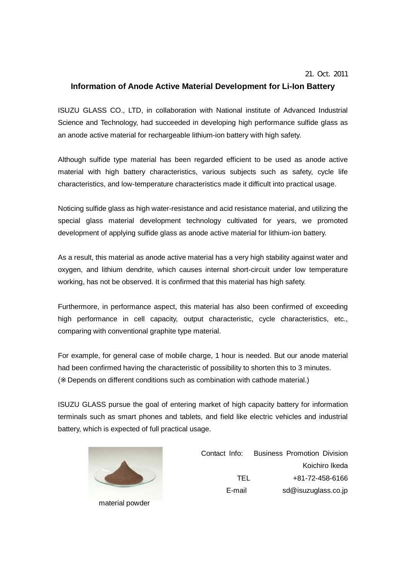## **Information of Anode Active Material Development for Li-Ion Battery**

ISUZU GLASS CO., LTD, in collaboration with National institute of Advanced Industrial Science and Technology, had succeeded in developing high performance sulfide glass as an anode active material for rechargeable lithium-ion battery with high safety.

Although sulfide type material has been regarded efficient to be used as anode active material with high battery characteristics, various subjects such as safety, cycle life characteristics, and low-temperature characteristics made it difficult into practical usage.

Noticing sulfide glass as high water-resistance and acid resistance material, and utilizing the special glass material development technology cultivated for years, we promoted development of applying sulfide glass as anode active material for lithium-ion battery.

As a result, this material as anode active material has a very high stability against water and oxygen, and lithium dendrite, which causes internal short-circuit under low temperature working, has not be observed. It is confirmed that this material has high safety.

Furthermore, in performance aspect, this material has also been confirmed of exceeding high performance in cell capacity, output characteristic, cycle characteristics, etc., comparing with conventional graphite type material.

For example, for general case of mobile charge, 1 hour is needed. But our anode material had been confirmed having the characteristic of possibility to shorten this to 3 minutes.

( Depends on different conditions such as combination with cathode material.)

ISUZU GLASS pursue the goal of entering market of high capacity battery for information terminals such as smart phones and tablets, and field like electric vehicles and industrial battery, which is expected of full practical usage.



material powder

Contact Info: Business Promotion Division Koichiro Ikeda TEL +81-72-458-6166 E-mail sd@isuzuglass.co.jp